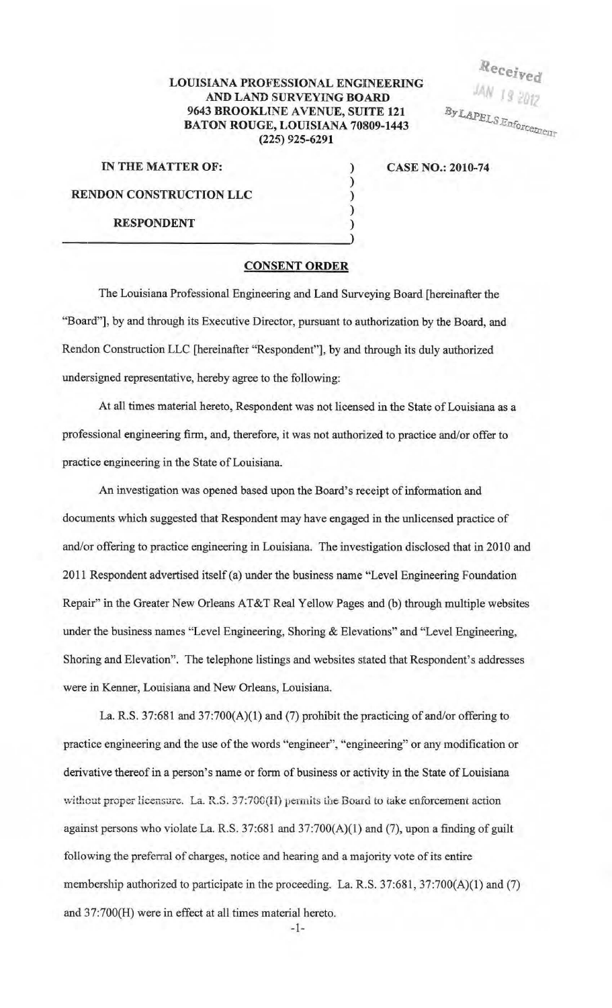## LOUISIANA PROFESSIONAL ENGINEERING AND LAND SURVEYING BOARD 9643 BROOKLlNE AVENUE, SUITE 121 BATON ROUGE, LOUISIANA 70809-1443 (225) 925-6291

) ) ) ) )

Received By LAPELS Enforcement

IN THE MATTER OF:

CASE NO.: 2010-74

RENDON CONSTRUCTION LLC

## RESPONDENT

## CONSENT ORDER

The Louisiana Professional Engineering and Land Surveying Board [hereinafter the "Board"], by and through its Executive Director, pursuant to authorization by the Board, and Rendon Construction LLC [hereinafter "Respondent"], by and through its duly authorized undersigned representative, hereby agree to the following:

At all times material hereto, Respondent was not licensed in the State of Louisiana as a professional engineering firm, and, therefore, it was not authorized to practice and/or offer to practice engineering in the State of Louisiana.

An investigation was opened based upon the Board's receipt of information and documents which suggested that Respondent may have engaged in the unlicensed practice of and/or offering to practice engineering in Louisiana. The investigation disclosed that in 2010 and 2011 Respondent advertised itself (a) under the business name "Level Engineering Foundation Repair" in the Greater New Orleans AT&T Real Yellow Pages and (b) through multiple websites under the business names "Level Engineering, Shoring & Elevations" and "Level Engineering, Shoring and Elevation". The telephone listings and websites stated that Respondent's addresses were in Kenner, Louisiana and New Orleans, Louisiana.

La. R.S. 37:681 and 37:700(A)(1) and (7) prohibit the practicing of and/or offering to practice engineering and the use of the words "engineer", "engineering'' or any modification or derivative thereof in a person's name or form of business or activity in the State of Louisiana without proper licensure. La. R.S. 37:700(H) permits the Board to take enforcement action against persons who violate La. R.S. 37:681 and 37:700(A)(l) and (7), upon a finding of guilt following the preferral of charges, notice and hearing and a majority vote of its entire membership authorized to participate in the proceeding. La. R.S. 37:681, 37:700(A)(1) and (7) and 37:700(H) were in effect at all times material hereto.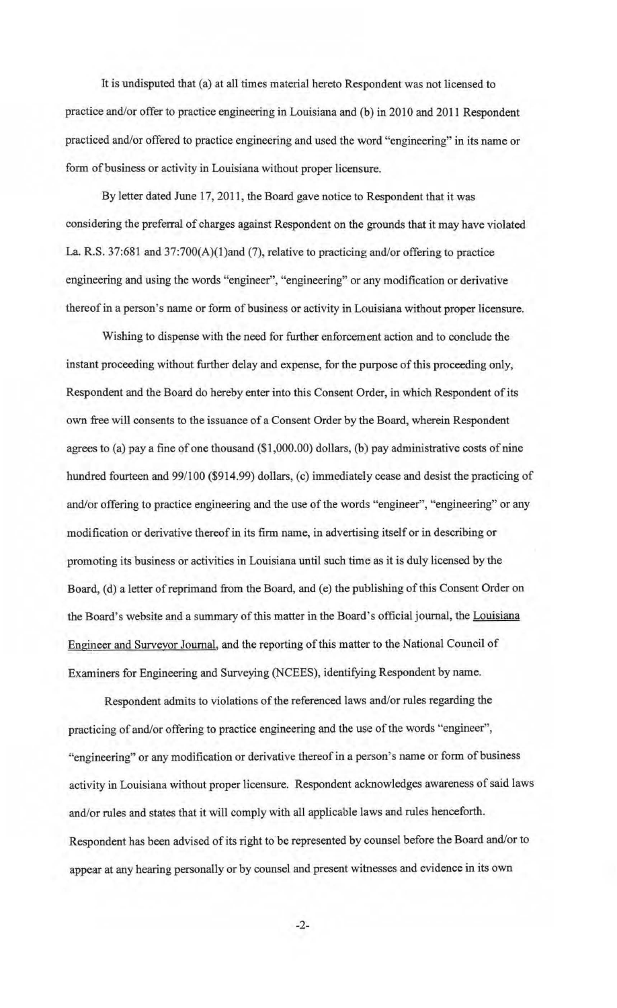It is undisputed that (a) at all times material hereto Respondent was not licensed to practice and/or offer to practice engineering in Louisiana and (b) in 2010 and 2011 Respondent practiced and/or offered to practice engineering and used the word "engineering" in its name or form of business or activity in Louisiana without proper licensure.

By letter dated June 17, 2011, the Board gave notice to Respondent that it was considering the preferral of charges against Respondent on the grounds that it may have violated La. R.S. 37:681 and 37:700(A)(1)and (7), relative to practicing and/or offering to practice engineering and using the words "engineer", "engineering" or any modification or derivative thereof in a person's name or form of business or activity in Louisiana without proper licensure.

Wishing to dispense with the need for further enforcement action and to conclude the instant proceeding without further delay and expense, for the purpose of this proceeding only, Respondent and the Board do hereby enter into this Consent Order, in which Respondent of its own free will consents to the issuance of a Consent Order by the Board, wherein Respondent agrees to (a) pay a fine of one thousand (\$1 ,000.00) dollars, (b) pay administrative costs of nine hundred fourteen and 99/100 (\$914.99) dollars, (c) immediately cease and desist the practicing of and/or offering to practice engineering and the use of the words "engineer", "engineering" or any modification or derivative thereof in its firm name, in advertising itself or in describing or promoting its business or activities in Louisiana until such time as it is duly licensed by the Board, (d) a letter of reprimand from the Board, and (e) the publishing of this Consent Order on the Board's website and a summary of this matter in the Board's official journal, the Louisiana Engineer and Surveyor Journal, and the reporting of this matter to the National Council of Examiners for Engineering and Surveying (NCEES), identifying Respondent by name.

Respondent admits to violations of the referenced laws and/or rules regarding the practicing of and/or offering to practice engineering and the use of the words "engineer", "engineering" or any modification or derivative thereof in a person's name or form of business activity in Louisiana without proper licensure. Respondent acknowledges awareness of said laws and/or rules and states that it will comply with all applicable laws and rules henceforth. Respondent has been advised of its right to be represented by counsel before the Board and/or to appear at any hearing personally or by counsel and present witnesses and evidence in its own

-2-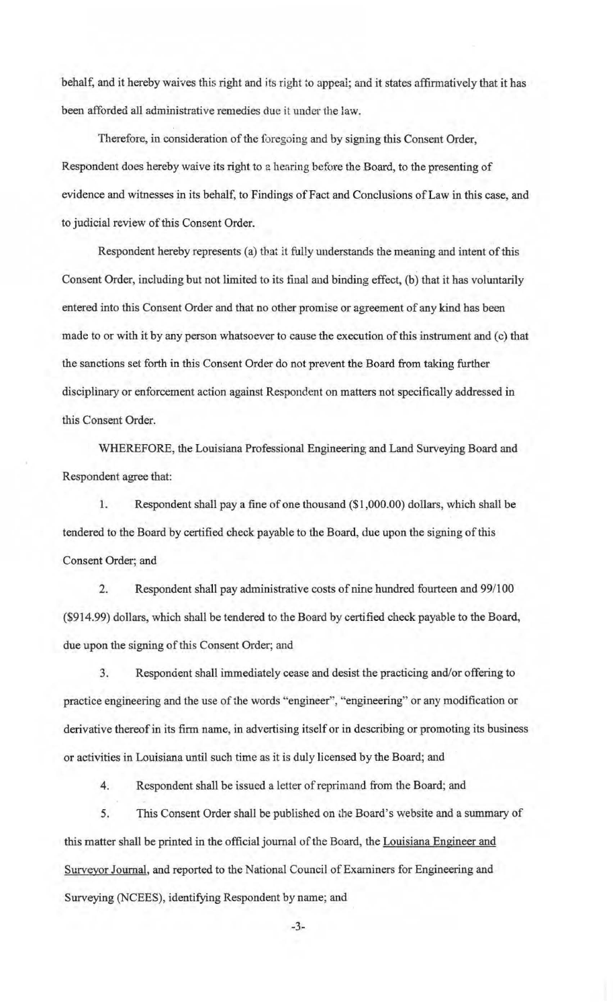behalf, and it hereby waives this right and its right to appeal; and it states affirmatively that it has been afforded all administrative remedies due it under the law.

Therefore, in consideration of the foregoing and by signing this Consent Order, Respondent does hereby waive its right to a hearing before the Board, to the presenting of evidence and witnesses in its behalf, to Findings of Fact and Conclusions of Law in this case, and to judicial review of this Consent Order.

Respondent hereby represents (a) that it fully understands the meaning and intent of this Consent Order, including but not limited to its final and binding effect, (b) that it has voluntarily entemd into this Consent Order and that no other promise or agreement of any kind has been made to or with it by any person whatsoever to cause the execution of this instrument and (c) that the sanctions set forth in this Consent Order do not prevent the Board from taking further disciplinary or enforcement action against Respondent on matters not specifically addressed in this Consent Order.

WHEREFORE, the Louisiana Professional Engineering and Land Surveying Board and Respondent agree that:

1. Respondent shall pay a fine of one thousand (\$1 ,000.00) dollars, which shall be tendered to the Board by certified check payable to the Board, due upon the signing of this Consent Order; and

2. Respondent shall pay administrative costs of nine hundred fourteen and 99/100 (\$914.99) dollars, which shall be tendered to the Board by certified check payable to the Board, due upon the signing of this Consent Order; and

3. Respondent shall immediately cease and desist the practicing and/or offering to practice engineering and the use of the words "engineer", "engineering" or any modification or derivative thereof in its firm name, in advertising itself or in describing or promoting its business or activities in Louisiana until such time as it is duly licensed by the Board; and

4. Respondent shall be issued a letter of reprimand from the Board; and

5. This Consent Order shall be published on ihe Board's website and a summary of this matter shall be printed in the official journal of the Board, the Louisiana Engineer and Surveyor Journal, and reported to the National Council of Examiners for Engineering and Surveying (NCEES), identifying Respondent by name; and

-3-